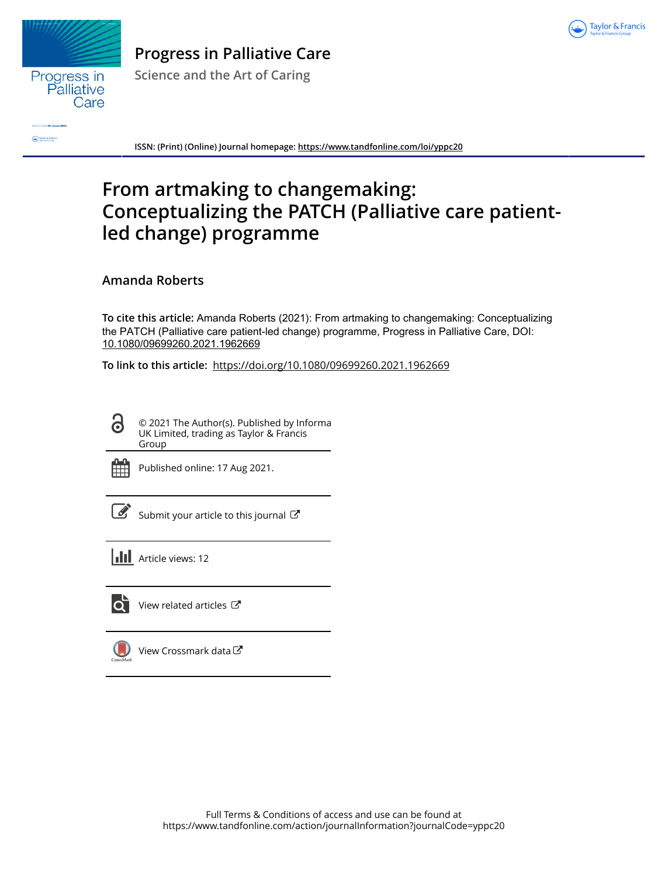



**Progress in Palliative Care**

**Science and the Art of Caring**

**Caylor & Franc** 

**ISSN: (Print) (Online) Journal homepage:<https://www.tandfonline.com/loi/yppc20>**

## **From artmaking to changemaking: Conceptualizing the PATCH (Palliative care patientled change) programme**

## **Amanda Roberts**

**To cite this article:** Amanda Roberts (2021): From artmaking to changemaking: Conceptualizing the PATCH (Palliative care patient-led change) programme, Progress in Palliative Care, DOI: [10.1080/09699260.2021.1962669](https://www.tandfonline.com/action/showCitFormats?doi=10.1080/09699260.2021.1962669)

**To link to this article:** <https://doi.org/10.1080/09699260.2021.1962669>

© 2021 The Author(s). Published by Informa UK Limited, trading as Taylor & Francis Group



 $\bullet$ 

Published online: 17 Aug 2021.

[Submit your article to this journal](https://www.tandfonline.com/action/authorSubmission?journalCode=yppc20&show=instructions)  $\mathbb{Z}$ 

**Article views: 12** 



 $\overline{\mathbf{Q}}$  [View related articles](https://www.tandfonline.com/doi/mlt/10.1080/09699260.2021.1962669)  $\mathbf{C}$ 

[View Crossmark data](http://crossmark.crossref.org/dialog/?doi=10.1080/09699260.2021.1962669&domain=pdf&date_stamp=2021-08-17) $\mathbb{Z}$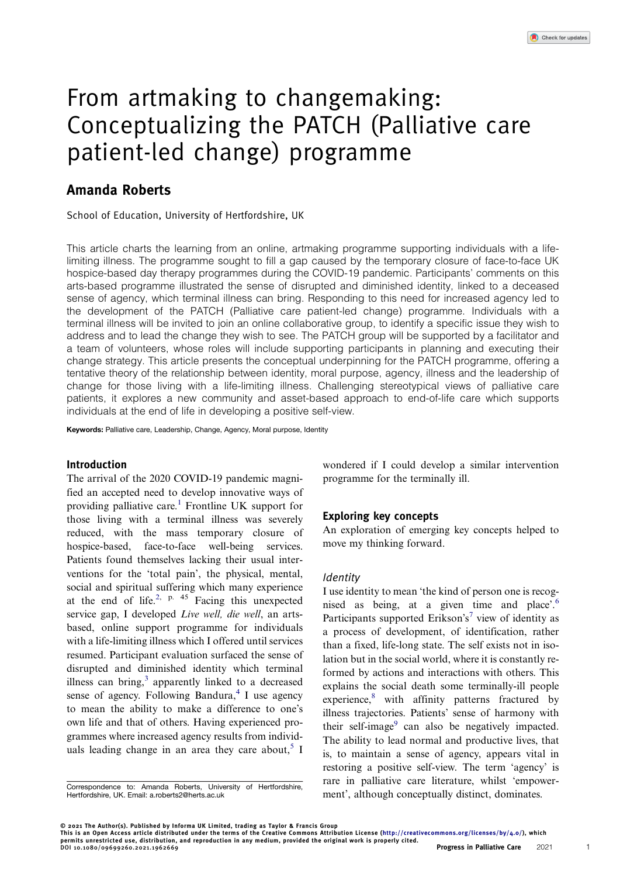# From artmaking to changemaking: Conceptualizing the PATCH (Palliative care patient-led change) programme

### Amanda Roberts

School of Education, University of Hertfordshire, UK

This article charts the learning from an online, artmaking programme supporting individuals with a lifelimiting illness. The programme sought to fill a gap caused by the temporary closure of face-to-face UK hospice-based day therapy programmes during the COVID-19 pandemic. Participants' comments on this arts-based programme illustrated the sense of disrupted and diminished identity, linked to a deceased sense of agency, which terminal illness can bring. Responding to this need for increased agency led to the development of the PATCH (Palliative care patient-led change) programme. Individuals with a terminal illness will be invited to join an online collaborative group, to identify a specific issue they wish to address and to lead the change they wish to see. The PATCH group will be supported by a facilitator and a team of volunteers, whose roles will include supporting participants in planning and executing their change strategy. This article presents the conceptual underpinning for the PATCH programme, offering a tentative theory of the relationship between identity, moral purpose, agency, illness and the leadership of change for those living with a life-limiting illness. Challenging stereotypical views of palliative care patients, it explores a new community and asset-based approach to end-of-life care which supports individuals at the end of life in developing a positive self-view.

Keywords: Palliative care, Leadership, Change, Agency, Moral purpose, Identity

#### Introduction

<span id="page-1-1"></span><span id="page-1-0"></span>The arrival of the 2020 COVID-19 pandemic magnified an accepted need to develop innovative ways of providing palliative care.[1](#page-4-0) Frontline UK support for those living with a terminal illness was severely reduced, with the mass temporary closure of hospice-based, face-to-face well-being services. Patients found themselves lacking their usual interventions for the 'total pain', the physical, mental, social and spiritual suffering which many experience at the end of life.<sup>[2](#page-4-1), p. 45</sup> Facing this unexpected service gap, I developed Live well, die well, an artsbased, online support programme for individuals with a life-limiting illness which I offered until services resumed. Participant evaluation surfaced the sense of disrupted and diminished identity which terminal illness can bring, $3$  apparently linked to a decreased sense of agency. Following Bandura, $4$  I use agency to mean the ability to make a difference to one's own life and that of others. Having experienced programmes where increased agency results from individ-uals leading change in an area they care about.<sup>[5](#page-4-4)</sup> I

wondered if I could develop a similar intervention programme for the terminally ill.

#### Exploring key concepts

An exploration of emerging key concepts helped to move my thinking forward.

#### **Identity**

<span id="page-1-7"></span><span id="page-1-6"></span><span id="page-1-5"></span><span id="page-1-4"></span>I use identity to mean 'the kind of person one is recognised as being, at a given time and place'. [6](#page-4-5) Participants supported Erikson's<sup>[7](#page-4-6)</sup> view of identity as a process of development, of identification, rather than a fixed, life-long state. The self exists not in isolation but in the social world, where it is constantly reformed by actions and interactions with others. This explains the social death some terminally-ill people experience, $8$  with affinity patterns fractured by illness trajectories. Patients' sense of harmony with their self-image $9$  can also be negatively impacted. The ability to lead normal and productive lives, that is, to maintain a sense of agency, appears vital in restoring a positive self-view. The term 'agency' is rare in palliative care literature, whilst 'empowerment', although conceptually distinct, dominates.

1

<span id="page-1-3"></span><span id="page-1-2"></span>Correspondence to: Amanda Roberts, University of Hertfordshire, Hertfordshire, UK. Email: [a.roberts2@herts.ac.uk](mailto:a.roberts2@herts.ac.uk)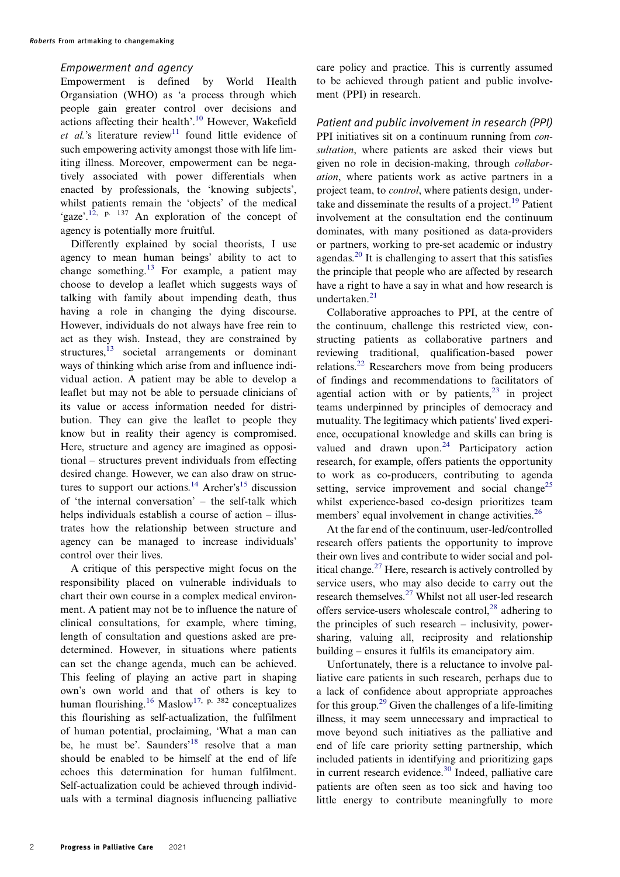#### Empowerment and agency

<span id="page-2-0"></span>Empowerment is defined by World Health Organsiation (WHO) as 'a process through which people gain greater control over decisions and actions affecting their health'. [10](#page-4-9) However, Wakefield et al.'s literature review $\frac{1}{1}$  found little evidence of such empowering activity amongst those with life limiting illness. Moreover, empowerment can be negatively associated with power differentials when enacted by professionals, the 'knowing subjects', whilst patients remain the 'objects' of the medical 'gaze'.<sup>[12](#page-4-11), p. 137</sup> An exploration of the concept of agency is potentially more fruitful.

<span id="page-2-2"></span><span id="page-2-1"></span>Differently explained by social theorists, I use agency to mean human beings' ability to act to change something.<sup>[13](#page-4-12)</sup> For example, a patient may choose to develop a leaflet which suggests ways of talking with family about impending death, thus having a role in changing the dying discourse. However, individuals do not always have free rein to act as they wish. Instead, they are constrained by structures,<sup>[13](#page-4-12)</sup> societal arrangements or dominant ways of thinking which arise from and influence individual action. A patient may be able to develop a leaflet but may not be able to persuade clinicians of its value or access information needed for distribution. They can give the leaflet to people they know but in reality their agency is compromised. Here, structure and agency are imagined as oppositional – structures prevent individuals from effecting desired change. However, we can also draw on struc-tures to support our actions.<sup>[14](#page-4-13)</sup> Archer's<sup>[15](#page-4-14)</sup> discussion of 'the internal conversation' – the self-talk which helps individuals establish a course of action – illustrates how the relationship between structure and agency can be managed to increase individuals' control over their lives.

<span id="page-2-5"></span><span id="page-2-4"></span><span id="page-2-3"></span>A critique of this perspective might focus on the responsibility placed on vulnerable individuals to chart their own course in a complex medical environment. A patient may not be to influence the nature of clinical consultations, for example, where timing, length of consultation and questions asked are predetermined. However, in situations where patients can set the change agenda, much can be achieved. This feeling of playing an active part in shaping own's own world and that of others is key to human flourishing.<sup>[16](#page-4-15)</sup> Maslow<sup>[17](#page-4-16), p. 382</sup> conceptualizes this flourishing as self-actualization, the fulfilment of human potential, proclaiming, 'What a man can be, he must be'. Saunders<sup>[18](#page-4-17)</sup> resolve that a man should be enabled to be himself at the end of life echoes this determination for human fulfilment. Self-actualization could be achieved through individuals with a terminal diagnosis influencing palliative

care policy and practice. This is currently assumed to be achieved through patient and public involvement (PPI) in research.

<span id="page-2-6"></span>Patient and public involvement in research (PPI) PPI initiatives sit on a continuum running from consultation, where patients are asked their views but given no role in decision-making, through collaboration, where patients work as active partners in a project team, to *control*, where patients design, undertake and disseminate the results of a project. $^{19}$  $^{19}$  $^{19}$  Patient involvement at the consultation end the continuum dominates, with many positioned as data-providers or partners, working to pre-set academic or industry agendas.[20](#page-4-19) It is challenging to assert that this satisfies the principle that people who are affected by research have a right to have a say in what and how research is undertaken.<sup>[21](#page-4-20)</sup>

<span id="page-2-9"></span><span id="page-2-8"></span><span id="page-2-7"></span>Collaborative approaches to PPI, at the centre of the continuum, challenge this restricted view, constructing patients as collaborative partners and reviewing traditional, qualification-based power relations.[22](#page-4-21) Researchers move from being producers of findings and recommendations to facilitators of agential action with or by patients, $2<sup>3</sup>$  in project teams underpinned by principles of democracy and mutuality. The legitimacy which patients' lived experience, occupational knowledge and skills can bring is valued and drawn upon. $24$  Participatory action research, for example, offers patients the opportunity to work as co-producers, contributing to agenda setting, service improvement and social change<sup>[25](#page-4-24)</sup> whilst experience-based co-design prioritizes team members' equal involvement in change activities.<sup>[26](#page-4-25)</sup>

<span id="page-2-12"></span><span id="page-2-11"></span><span id="page-2-10"></span>At the far end of the continuum, user-led/controlled research offers patients the opportunity to improve their own lives and contribute to wider social and political change.<sup>27</sup> Here, research is actively controlled by service users, who may also decide to carry out the research themselves[.27](#page-4-26) Whilst not all user-led research offers service-users wholescale control, $^{28}$  $^{28}$  $^{28}$  adhering to the principles of such research – inclusivity, powersharing, valuing all, reciprosity and relationship building – ensures it fulfils its emancipatory aim.

<span id="page-2-14"></span><span id="page-2-13"></span>Unfortunately, there is a reluctance to involve palliative care patients in such research, perhaps due to a lack of confidence about appropriate approaches for this group.<sup>29</sup> Given the challenges of a life-limiting illness, it may seem unnecessary and impractical to move beyond such initiatives as the palliative and end of life care priority setting partnership, which included patients in identifying and prioritizing gaps in current research evidence.<sup>[30](#page-5-0)</sup> Indeed, palliative care patients are often seen as too sick and having too little energy to contribute meaningfully to more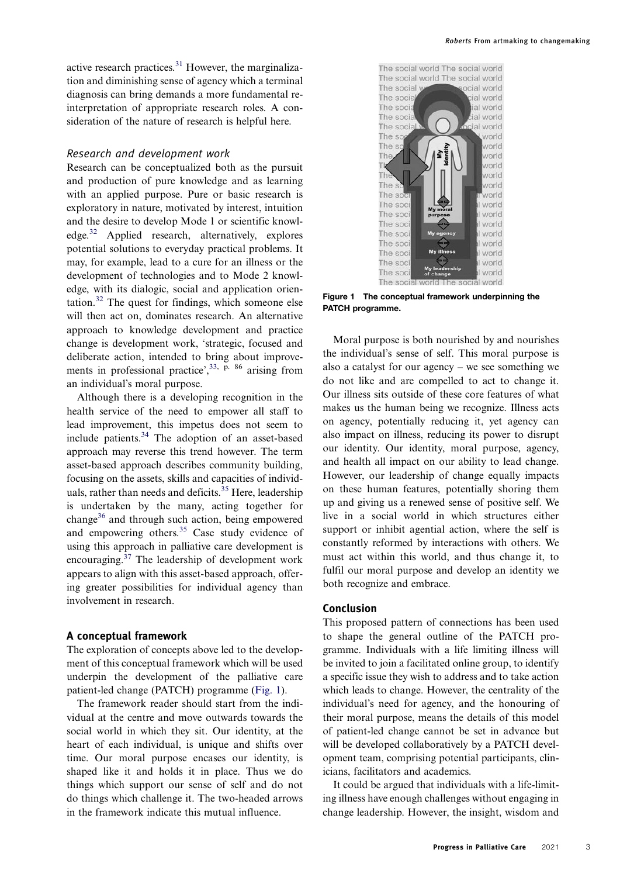<span id="page-3-1"></span>active research practices. $31$  However, the marginalization and diminishing sense of agency which a terminal diagnosis can bring demands a more fundamental reinterpretation of appropriate research roles. A consideration of the nature of research is helpful here.

#### Research and development work

Research can be conceptualized both as the pursuit and production of pure knowledge and as learning with an applied purpose. Pure or basic research is exploratory in nature, motivated by interest, intuition and the desire to develop Mode 1 or scientific knowl-edge.<sup>[32](#page-5-2)</sup> Applied research, alternatively, explores potential solutions to everyday practical problems. It may, for example, lead to a cure for an illness or the development of technologies and to Mode 2 knowledge, with its dialogic, social and application orien-tation.<sup>[32](#page-5-2)</sup> The quest for findings, which someone else will then act on, dominates research. An alternative approach to knowledge development and practice change is development work, 'strategic, focused and deliberate action, intended to bring about improve-ments in professional practice',<sup>[33](#page-5-3), p. 86</sup> arising from an individual's moral purpose.

<span id="page-3-5"></span><span id="page-3-4"></span><span id="page-3-3"></span><span id="page-3-2"></span>Although there is a developing recognition in the health service of the need to empower all staff to lead improvement, this impetus does not seem to include patients[.34](#page-5-4) The adoption of an asset-based approach may reverse this trend however. The term asset-based approach describes community building, focusing on the assets, skills and capacities of individ-uals, rather than needs and deficits.<sup>[35](#page-5-5)</sup> Here, leadership is undertaken by the many, acting together for change $36$  and through such action, being empowered and empowering others.<sup>[35](#page-5-5)</sup> Case study evidence of using this approach in palliative care development is encouraging.[37](#page-5-7) The leadership of development work appears to align with this asset-based approach, offering greater possibilities for individual agency than involvement in research.

#### A conceptual framework

The exploration of concepts above led to the development of this conceptual framework which will be used underpin the development of the palliative care patient-led change (PATCH) programme ([Fig. 1](#page-3-0)).

The framework reader should start from the individual at the centre and move outwards towards the social world in which they sit. Our identity, at the heart of each individual, is unique and shifts over time. Our moral purpose encases our identity, is shaped like it and holds it in place. Thus we do things which support our sense of self and do not do things which challenge it. The two-headed arrows in the framework indicate this mutual influence.

<span id="page-3-0"></span>

Figure 1 The conceptual framework underpinning the PATCH programme.

Moral purpose is both nourished by and nourishes the individual's sense of self. This moral purpose is also a catalyst for our agency – we see something we do not like and are compelled to act to change it. Our illness sits outside of these core features of what makes us the human being we recognize. Illness acts on agency, potentially reducing it, yet agency can also impact on illness, reducing its power to disrupt our identity. Our identity, moral purpose, agency, and health all impact on our ability to lead change. However, our leadership of change equally impacts on these human features, potentially shoring them up and giving us a renewed sense of positive self. We live in a social world in which structures either support or inhibit agential action, where the self is constantly reformed by interactions with others. We must act within this world, and thus change it, to fulfil our moral purpose and develop an identity we both recognize and embrace.

#### Conclusion

This proposed pattern of connections has been used to shape the general outline of the PATCH programme. Individuals with a life limiting illness will be invited to join a facilitated online group, to identify a specific issue they wish to address and to take action which leads to change. However, the centrality of the individual's need for agency, and the honouring of their moral purpose, means the details of this model of patient-led change cannot be set in advance but will be developed collaboratively by a PATCH development team, comprising potential participants, clinicians, facilitators and academics.

It could be argued that individuals with a life-limiting illness have enough challenges without engaging in change leadership. However, the insight, wisdom and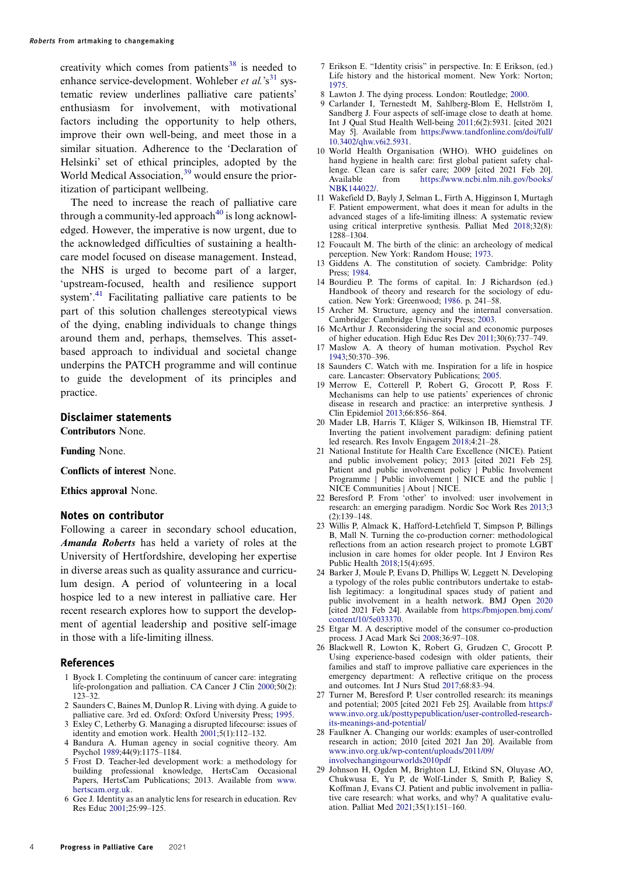<span id="page-4-29"></span>creativity which comes from patients $38$  is needed to enhance service-development. Wohleber et al.'s<sup>[31](#page-5-1)</sup> systematic review underlines palliative care patients' enthusiasm for involvement, with motivational factors including the opportunity to help others, improve their own well-being, and meet those in a similar situation. Adherence to the 'Declaration of Helsinki' set of ethical principles, adopted by the World Medical Association,<sup>[39](#page-5-9)</sup> would ensure the prioritization of participant wellbeing.

<span id="page-4-31"></span><span id="page-4-30"></span>The need to increase the reach of palliative care through a community-led approach<sup>40</sup> is long acknowledged. However, the imperative is now urgent, due to the acknowledged difficulties of sustaining a healthcare model focused on disease management. Instead, the NHS is urged to become part of a larger, 'upstream-focused, health and resilience support system'. [41](#page-5-11) Facilitating palliative care patients to be part of this solution challenges stereotypical views of the dying, enabling individuals to change things around them and, perhaps, themselves. This assetbased approach to individual and societal change underpins the PATCH programme and will continue to guide the development of its principles and practice.

#### Disclaimer statements

Contributors None.

Funding None.

Conflicts of interest None.

Ethics approval None.

#### Notes on contributor

Following a career in secondary school education, Amanda Roberts has held a variety of roles at the University of Hertfordshire, developing her expertise in diverse areas such as quality assurance and curriculum design. A period of volunteering in a local hospice led to a new interest in palliative care. Her recent research explores how to support the development of agential leadership and positive self-image in those with a life-limiting illness.

#### References

- <span id="page-4-0"></span>1 Byock I. Completing the continuum of cancer care: integrating life-prolongation and palliation. CA Cancer J Clin [2000](#page-1-0);50(2): 123–32.
- <span id="page-4-1"></span>2 Saunders C, Baines M, Dunlop R. Living with dying. A guide to palliative care. 3rd ed. Oxford: Oxford University Press; [1995.](#page-1-1)
- <span id="page-4-2"></span>3 Exley C, Letherby G. Managing a disrupted lifecourse: issues of identity and emotion work. Health [2001](#page-1-2);5(1):112–132.
- <span id="page-4-3"></span>4 Bandura A. Human agency in social cognitive theory. Am Psychol [1989;](#page-1-3)44(9):1175–1184.
- <span id="page-4-4"></span>5 Frost D. Teacher-led development work: a methodology for building professional knowledge, HertsCam Occasional Papers, HertsCam Publications; 2013. Available from [www.](http://www.hertscam.org.uk) [hertscam.org.uk](http://www.hertscam.org.uk).
- <span id="page-4-5"></span>6 Gee J. Identity as an analytic lens for research in education. Rev Res Educ [2001](#page-1-4);25:99–125.
- <span id="page-4-6"></span>7 Erikson E. "Identity crisis" in perspective. In: E Erikson, (ed.) Life history and the historical moment. New York: Norton; [1975.](#page-1-5)
- <span id="page-4-8"></span><span id="page-4-7"></span>8 Lawton J. The dying process. London: Routledge; [2000](#page-1-6).
- 9 Carlander I, Ternestedt M, Sahlberg-Blom E, Hellström I, Sandberg J. Four aspects of self-image close to death at home. Int J Qual Stud Health Well-being [2011;](#page-1-7)6(2):5931. [cited 2021 May 5]. Available from [https://www.tandfonline.com/doi/full/](https://www.tandfonline.com/doi/full/10.3402/qhw.v6i2.5931) [10.3402/qhw.v6i2.5931.](https://www.tandfonline.com/doi/full/10.3402/qhw.v6i2.5931)
- <span id="page-4-9"></span>10 World Health Organisation (WHO). WHO guidelines on hand hygiene in health care: first global patient safety challenge. Clean care is safer care; 2009 [cited 2021 Feb 20]. Available from [https://www.ncbi.nlm.nih.gov/books/](https://www.ncbi.nlm.nih.gov/books/NBK144022/) [NBK144022/.](https://www.ncbi.nlm.nih.gov/books/NBK144022/)
- <span id="page-4-10"></span>11 Wakefield D, Bayly J, Selman L, Firth A, Higginson I, Murtagh F. Patient empowerment, what does it mean for adults in the advanced stages of a life-limiting illness: A systematic review using critical interpretive synthesis. Palliat Med [2018](#page-2-0);32(8): 1288–1304.
- <span id="page-4-11"></span>12 Foucault M. The birth of the clinic: an archeology of medical perception. New York: Random House; [1973.](#page-2-1)
- <span id="page-4-12"></span>Giddens A. The constitution of society. Cambridge: Polity Press; [1984](#page-2-2).
- <span id="page-4-13"></span>14 Bourdieu P. The forms of capital. In: J Richardson (ed.) Handbook of theory and research for the sociology of education. New York: Greenwood; [1986](#page-2-3). p. 241–58.
- <span id="page-4-14"></span>15 Archer M. Structure, agency and the internal conversation. Cambridge: Cambridge University Press; [2003.](#page-2-3)
- <span id="page-4-15"></span>16 McArthur J. Reconsidering the social and economic purposes of higher education. High Educ Res Dev [2011;](#page-2-4)30(6):737–749.
- <span id="page-4-16"></span>17 Maslow A. A theory of human motivation. Psychol Rev [1943;](#page-2-4)50:370–396.
- <span id="page-4-17"></span>18 Saunders C. Watch with me. Inspiration for a life in hospice care. Lancaster: Observatory Publications; [2005.](#page-2-5)
- <span id="page-4-18"></span>19 Merrow E, Cotterell P, Robert G, Grocott P, Ross F. Mechanisms can help to use patients' experiences of chronic disease in research and practice: an interpretive synthesis. J Clin Epidemiol [2013;](#page-2-6)66:856–864.
- <span id="page-4-19"></span>20 Mader LB, Harris T, Kläger S, Wilkinson IB, Hiemstral TF. Inverting the patient involvement paradigm: defining patient led research. Res Involv Engagem [2018](#page-2-7);4:21–28.
- <span id="page-4-20"></span>21 National Institute for Health Care Excellence (NICE). Patient and public involvement policy; 2013 [cited 2021 Feb 25]. Patient and public involvement policy | Public Involvement Programme | Public involvement | NICE and the public | NICE Communities | About | NICE.
- <span id="page-4-21"></span>22 Beresford P. From 'other' to involved: user involvement in research: an emerging paradigm. Nordic Soc Work Res [2013;](#page-2-8)3 (2):139–148.
- <span id="page-4-22"></span>23 Willis P, Almack K, Hafford-Letchfield T, Simpson P, Billings B, Mall N. Turning the co-production corner: methodological reflections from an action research project to promote LGBT inclusion in care homes for older people. Int J Environ Res Public Health [2018;](#page-2-9)15(4):695.
- <span id="page-4-23"></span>24 Barker J, Moule P, Evans D, Phillips W, Leggett N. Developing a typology of the roles public contributors undertake to establish legitimacy: a longitudinal spaces study of patient and public involvement in a health network. BMJ Open [2020](#page-2-10) [cited 2021 Feb 24]. Available from [https://bmjopen.bmj.com/](https://bmjopen.bmj.com/content/10/5e033370) [content/10/5e033370.](https://bmjopen.bmj.com/content/10/5e033370)
- <span id="page-4-24"></span>25 Etgar M. A descriptive model of the consumer co-production process. J Acad Mark Sci [2008](#page-2-11);36:97–108.
- <span id="page-4-25"></span>26 Blackwell R, Lowton K, Robert G, Grudzen C, Grocott P. Using experience-based codesign with older patients, their families and staff to improve palliative care experiences in the emergency department: A reflective critique on the process and outcomes. Int J Nurs Stud [2017;](#page-2-12)68:83–94.
- <span id="page-4-26"></span>27 Turner M, Beresford P. User controlled research: its meanings and potential; 2005 [cited 2021 Feb 25]. Available from [https://](https://www.invo.org.uk/posttypepublication/user-controlled-research-its-meanings-and-potential/) [www.invo.org.uk/posttypepublication/user-controlled-research](https://www.invo.org.uk/posttypepublication/user-controlled-research-its-meanings-and-potential/)[its-meanings-and-potential/](https://www.invo.org.uk/posttypepublication/user-controlled-research-its-meanings-and-potential/)
- <span id="page-4-27"></span>28 Faulkner A. Changing our worlds: examples of user-controlled research in action; 2010 [cited 2021 Jan 20]. Available from [www.invo.org.uk/wp-content/uploads/2011/09/](http://www.invo.org.uk/wp-content/uploads/2011/09/involvechangingourworlds2010pdf) [involvechangingourworlds2010pdf](http://www.invo.org.uk/wp-content/uploads/2011/09/involvechangingourworlds2010pdf)
- <span id="page-4-28"></span>29 Johnson H, Ogden M, Brighton LJ, Etkind SN, Oluyase AO, Chukwusa E, Yu P, de Wolf-Linder S, Smith P, Baliey S, Koffman J, Evans CJ. Patient and public involvement in palliative care research: what works, and why? A qualitative evaluation. Palliat Med [2021](#page-2-13);35(1):151–160.